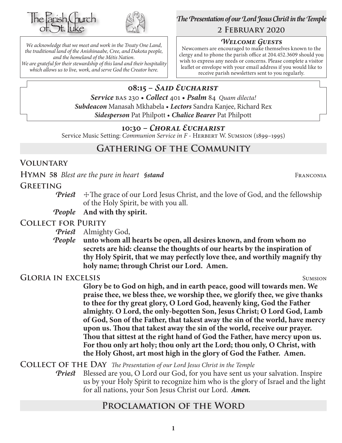



*We acknowledge that we meet and work in the Treaty One Land, the traditional land of the Anishinaabe, Cree, and Dakota people, and the homeland of the Métis Nation. We are grateful for their stewardship of this land and their hospitality which allows us to live, work, and serve God the Creator here.*

*The Presentation of our Lord Jesus Christ in the Temple* **2 February 2020**

## *Welcome Guests*

Newcomers are encouraged to make themselves known to the clergy and to phone the parish office at 204.452.3609 should you wish to express any needs or concerns. Please complete a visitor leaflet or envelope with your email address if you would like to receive parish newsletters sent to you regularly.

# **08:15 –** *Said Eucharist*

*Service* bas 230 • *Collect* 401 • *Psalm* 84 *Quam dilecta! Subdeacon* Manasah Mkhabela • *Lectors* Sandra Kanjee, Richard Rex *Sidesperson* Pat Philpott • *Chalice Bearer* Pat Philpott

# **10:30 –** *Choral Eucharist*

Service Music Setting: *Communion Service in F* - HERBERT W. SUMSION (1899-1995)

# **Gathering of the Community**

# **Voluntary**

**HYMN** 58 *Blest are the pure in heart §stand* FRANCONIA

# **Greeting**

- *Priest*  $\pm$  The grace of our Lord Jesus Christ, and the love of God, and the fellowship of the Holy Spirit, be with you all.
- *People* **And with thy spirit.**

# **Collect for Purity**

*Priest* Almighty God,

*People* **unto whom all hearts be open, all desires known, and from whom no secrets are hid: cleanse the thoughts of our hearts by the inspiration of thy Holy Spirit, that we may perfectly love thee, and worthily magnify thy holy name; through Christ our Lord. Amen.**

# **GLORIA IN EXCELSIS** SUMSION

**Glory be to God on high, and in earth peace, good will towards men. We praise thee, we bless thee, we worship thee, we glorify thee, we give thanks to thee for thy great glory, O Lord God, heavenly king, God the Father almighty. O Lord, the only-begotten Son, Jesus Christ; O Lord God, Lamb of God, Son of the Father, that takest away the sin of the world, have mercy upon us. Thou that takest away the sin of the world, receive our prayer. Thou that sittest at the right hand of God the Father, have mercy upon us. For thou only art holy; thou only art the Lord; thou only, O Christ, with the Holy Ghost, art most high in the glory of God the Father. Amen.**

**Collect of the Day** *The Presentation of our Lord Jesus Christ in the Temple*

*Priest* Blessed are you, O Lord our God, for you have sent us your salvation. Inspire us by your Holy Spirit to recognize him who is the glory of Israel and the light for all nations, your Son Jesus Christ our Lord.*Amen.*

# **Proclamation of the Word**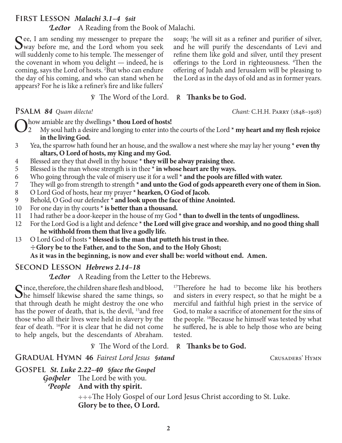**2**

# **First Lesson** *Malachi 3.1–4 §sit*

*Lector* A Reading from the Book of Malachi.

See, I am sending my messenger to prepare the<br>Way before me, and the Lord whom you seek will suddenly come to his temple. The messenger of the covenant in whom you delight — indeed, he is coming, says the Lord of hosts. 2 But who can endure the day of his coming, and who can stand when he appears? For he is like a refiner's fire and like fullers'

# ℣ The Word of the Lord. ℟ **Thanks be to God.**

- O how amiable are thy dwellings \* **thou Lord of hosts!**<br>
2 My soul hath a desire and longing to enter into the courts of the Lord \* **my heart and my flesh rejoice**<br>
in the living God **in the living God.**
- 3 Yea, the sparrow hath found her an house, and the swallow a nest where she may lay her young **\* even thy altars, O Lord of hosts, my King and my God.**
- 4 Blessed are they that dwell in thy house **\* they will be alway praising thee.**
- 5 Blessed is the man whose strength is in thee **\* in whose heart are thy ways.**
- 6 Who going through the vale of misery use it for a well **\* and the pools are filled with water.**
- 7 They will go from strength to strength **\* and unto the God of gods appeareth every one of them in Sion.**
- 8 O Lord God of hosts, hear my prayer **\* hearken, O God of Jacob.**
- 9 Behold, O God our defender **\* and look upon the face of thine Anointed.**
- 10 For one day in thy courts **\* is better than a thousand.**
- 11 I had rather be a door-keeper in the house of my God **\* than to dwell in the tents of ungodliness.**
- 12 For the Lord God is a light and defence **\* the Lord will give grace and worship, and no good thing shall he withhold from them that live a godly life.**
- 13 O Lord God of hosts **\* blessed is the man that putteth his trust in thee.** ☩**Glory be to the Father, and to the Son, and to the Holy Ghost; As it was in the beginning, is now and ever shall be: world without end. Amen.**

# **Second Lesson** *Hebrews 2.14–18*

*Lector* A Reading from the Letter to the Hebrews.

Since, therefore, the children share flesh and blood,<br>She himself likewise shared the same things, so<br>that through death he might destroy the specials that through death he might destroy the one who has the power of death, that is, the devil, <sup>15</sup> and free those who all their lives were held in slavery by the fear of death. 16For it is clear that he did not come to help angels, but the descendants of Abraham.

<sup>17</sup>Therefore he had to become like his brothers and sisters in every respect, so that he might be a merciful and faithful high priest in the service of God, to make a sacrifice of atonement for the sins of the people. 18Because he himself was tested by what he suffered, he is able to help those who are being tested.

℣ The Word of the Lord. ℟ **Thanks be to God.**

**GRADUAL HYMN 46** *Fairest Lord Jesus §stand* CRUSADERS' HYMN

*Gospeler* The Lord be with you. *People* **And with thy spirit.**

**Glory be to thee, O Lord.**

**Gospel** *St. Luke 2.22–40 §face the Gospel*

soap; <sup>3</sup>he will sit as a refiner and purifier of silver, and he will purify the descendants of Levi and refine them like gold and silver, until they present offerings to the Lord in righteousness. <sup>4</sup>Then the offering of Judah and Jerusalem will be pleasing to the Lord as in the days of old and as in former years.

**Psalm** *84 Quam dilecta! Chant:* C.H.H. Parry (1848–1918)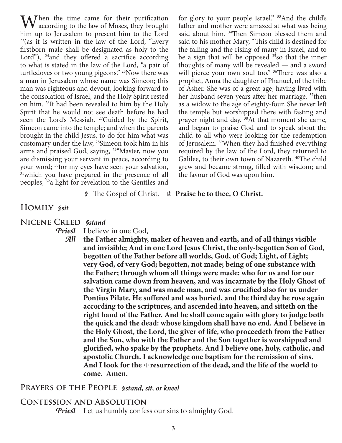When the time came for their purification<br>according to the law of Moses, they brought<br>him un to January to present him to the Lard him up to Jerusalem to present him to the Lord  $23$ (as it is written in the law of the Lord, "Every" firstborn male shall be designated as holy to the Lord"),  $^{24}$  and they offered a sacrifice according to what is stated in the law of the Lord, "a pair of turtledoves or two young pigeons." <sup>25</sup>Now there was a man in Jerusalem whose name was Simeon; this man was righteous and devout, looking forward to the consolation of Israel, and the Holy Spirit rested on him. 26It had been revealed to him by the Holy Spirit that he would not see death before he had seen the Lord's Messiah. <sup>27</sup>Guided by the Spirit, Simeon came into the temple; and when the parents brought in the child Jesus, to do for him what was customary under the law, 28Simeon took him in his arms and praised God, saying, 29"Master, now you are dismissing your servant in peace, according to your word; <sup>30</sup>for my eyes have seen your salvation, <sup>31</sup>which you have prepared in the presence of all peoples, 32a light for revelation to the Gentiles and

for glory to your people Israel." <sup>33</sup>And the child's father and mother were amazed at what was being said about him. <sup>34</sup>Then Simeon blessed them and said to his mother Mary, "This child is destined for the falling and the rising of many in Israel, and to be a sign that will be opposed  $35$ so that the inner thoughts of many will be revealed — and a sword will pierce your own soul too." <sup>36</sup>There was also a prophet, Anna the daughter of Phanuel, of the tribe of Asher. She was of a great age, having lived with her husband seven years after her marriage, <sup>37</sup>then as a widow to the age of eighty-four. She never left the temple but worshipped there with fasting and prayer night and day. 38At that moment she came, and began to praise God and to speak about the child to all who were looking for the redemption of Jerusalem. 39When they had finished everything required by the law of the Lord, they returned to Galilee, to their own town of Nazareth. <sup>40</sup>The child grew and became strong, filled with wisdom; and the favour of God was upon him.

#### ℣ The Gospel of Christ. ℟ **Praise be to thee, O Christ.**

#### **Homily** *§sit*

#### **Nicene Creed** *§stand*

*Priest* I believe in one God,

*All* **the Father almighty, maker of heaven and earth, and of all things visible and invisible; And in one Lord Jesus Christ, the only-begotten Son of God, begotten of the Father before all worlds, God, of God; Light, of Light; very God, of very God; begotten, not made; being of one substance with the Father; through whom all things were made: who for us and for our salvation came down from heaven, and was incarnate by the Holy Ghost of the Virgin Mary, and was made man, and was crucified also for us under Pontius Pilate. He suffered and was buried, and the third day he rose again according to the scriptures, and ascended into heaven, and sitteth on the right hand of the Father. And he shall come again with glory to judge both the quick and the dead: whose kingdom shall have no end. And I believe in the Holy Ghost, the Lord, the giver of life, who proceedeth from the Father and the Son, who with the Father and the Son together is worshipped and glorified, who spake by the prophets. And I believe one, holy, catholic, and apostolic Church. I acknowledge one baptism for the remission of sins. And I look for the** ☩**resurrection of the dead, and the life of the world to come. Amen.**

## **Prayers of the People** *§stand, sit, or kneel*

#### **Confession and Absolution**

*Priest* Let us humbly confess our sins to almighty God.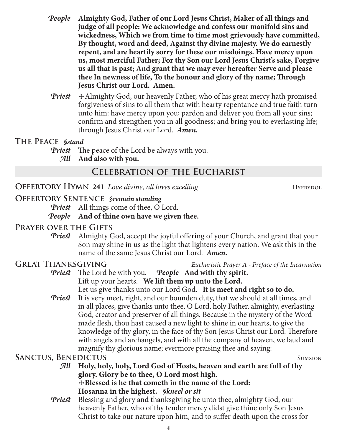- *People* **Almighty God, Father of our Lord Jesus Christ, Maker of all things and judge of all people: We acknowledge and confess our manifold sins and wickedness, Which we from time to time most grievously have committed, By thought, word and deed, Against thy divine majesty. We do earnestly repent, and are heartily sorry for these our misdoings. Have mercy upon us, most merciful Father; For thy Son our Lord Jesus Christ's sake, Forgive us all that is past; And grant that we may ever hereafter Serve and please thee In newness of life, To the honour and glory of thy name; Through Jesus Christ our Lord. Amen.**
- *Priest*  $\pm$  Almighty God, our heavenly Father, who of his great mercy hath promised forgiveness of sins to all them that with hearty repentance and true faith turn unto him: have mercy upon you; pardon and deliver you from all your sins; confirm and strengthen you in all goodness; and bring you to everlasting life; through Jesus Christ our Lord.*Amen.*

## **The Peace** *§stand*

*Priest* The peace of the Lord be always with you.

*All* **And also with you.**

# **Celebration of the Eucharist**

**OFFERTORY HYMN 241** *Love divine, all loves excelling* HYFRYDOL

# **Offertory Sentence** *§remain standing*

*Priest* All things come of thee, O Lord.

# *People* **And of thine own have we given thee.**

# **Prayer over the Gifts**

*Priest* Almighty God, accept the joyful offering of your Church, and grant that your Son may shine in us as the light that lightens every nation. We ask this in the name of the same Jesus Christ our Lord. *Amen.*

**Great Thanksgiving** *Eucharistic Prayer A - Preface of the Incarnation*

- *Priest* The Lord be with you. *People* **And with thy spirit.** Lift up your hearts. **We lift them up unto the Lord.** Let us give thanks unto our Lord God. **It is meet and right so to do.**
- *Priest* It is very meet, right, and our bounden duty, that we should at all times, and in all places, give thanks unto thee, O Lord, holy Father, almighty, everlasting God, creator and preserver of all things. Because in the mystery of the Word made flesh, thou hast caused a new light to shine in our hearts, to give the knowledge of thy glory, in the face of thy Son Jesus Christ our Lord. Therefore with angels and archangels, and with all the company of heaven, we laud and magnify thy glorious name; evermore praising thee and saying:

# **SANCTUS, BENEDICTUS** SUMSION

- *All* **Holy, holy, holy, Lord God of Hosts, heaven and earth are full of thy glory. Glory be to thee, O Lord most high.** ☩**Blessed is he that cometh in the name of the Lord: Hosanna in the highest.** *§kneel or sit*
- *Priest* Blessing and glory and thanksgiving be unto thee, almighty God, our heavenly Father, who of thy tender mercy didst give thine only Son Jesus Christ to take our nature upon him, and to suffer death upon the cross for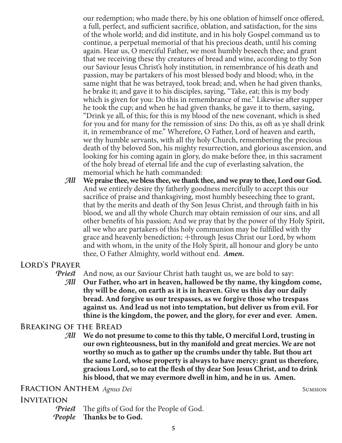our redemption; who made there, by his one oblation of himself once offered, a full, perfect, and sufficient sacrifice, oblation, and satisfaction, for the sins of the whole world; and did institute, and in his holy Gospel command us to continue, a perpetual memorial of that his precious death, until his coming again. Hear us, O merciful Father, we most humbly beseech thee; and grant that we receiving these thy creatures of bread and wine, according to thy Son our Saviour Jesus Christ's holy institution, in remembrance of his death and passion, may be partakers of his most blessed body and blood; who, in the same night that he was betrayed, took bread; and, when he had given thanks, he brake it; and gave it to his disciples, saying, "Take, eat; this is my body which is given for you: Do this in remembrance of me." Likewise after supper he took the cup; and when he had given thanks, he gave it to them, saying, "Drink ye all, of this; for this is my blood of the new covenant, which is shed for you and for many for the remission of sins: Do this, as oft as ye shall drink it, in remembrance of me." Wherefore, O Father, Lord of heaven and earth, we thy humble servants, with all thy holy Church, remembering the precious death of thy beloved Son, his mighty resurrection, and glorious ascension, and looking for his coming again in glory, do make before thee, in this sacrament of the holy bread of eternal life and the cup of everlasting salvation, the memorial which he hath commanded:

*All* **We praise thee, we bless thee, we thank thee, and we pray to thee, Lord our God.** And we entirely desire thy fatherly goodness mercifully to accept this our sacrifice of praise and thanksgiving, most humbly beseeching thee to grant, that by the merits and death of thy Son Jesus Christ, and through faith in his blood, we and all thy whole Church may obtain remission of our sins, and all other benefits of his passion; And we pray that by the power of thy Holy Spirit, all we who are partakers of this holy communion may be fulfilled with thy grace and heavenly benediction;  $+$ through Jesus Christ our Lord, by whom and with whom, in the unity of the Holy Spirit, all honour and glory be unto thee, O Father Almighty, world without end. *Amen.*

# **Lord's Prayer**

*Priest* And now, as our Saviour Christ hath taught us, we are bold to say:

*All* **Our Father, who art in heaven, hallowed be thy name, thy kingdom come, thy will be done, on earth as it is in heaven. Give us this day our daily bread. And forgive us our trespasses, as we forgive those who trespass against us. And lead us not into temptation, but deliver us from evil. For thine is the kingdom, the power, and the glory, for ever and ever. Amen.**

#### **Breaking of the Bread**

*All* **We do not presume to come to this thy table, O merciful Lord, trusting in our own righteousness, but in thy manifold and great mercies. We are not worthy so much as to gather up the crumbs under thy table. But thou art the same Lord, whose property is always to have mercy: grant us therefore, gracious Lord, so to eat the flesh of thy dear Son Jesus Christ, and to drink his blood, that we may evermore dwell in him, and he in us. Amen.**

# **FRACTION ANTHEM** *Agnus Dei* SUMSION

#### **Invitation**

*Priest* The gifts of God for the People of God. *People* **Thanks be to God.**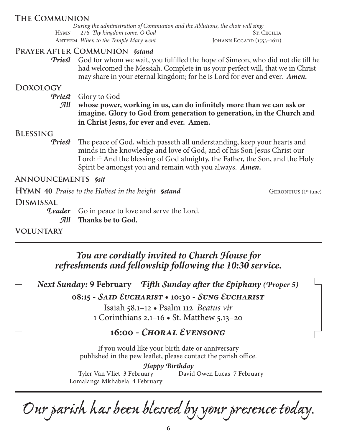# **The Communion**

*During the administration of Communion and the Ablutions, the choir will sing:* Hymn 276 *Thy kingdom come, O God* ST. CECILIA ANTHEM *When to the Temple Mary went* JOHANN ECCARD (1553-1611)

## **Prayer after Communion** *§stand*

**Priest** God for whom we wait, you fulfilled the hope of Simeon, who did not die till he had welcomed the Messiah. Complete in us your perfect will, that we in Christ may share in your eternal kingdom; for he is Lord for ever and ever. *Amen.*

# **Doxology**

*Priest* Glory to God

*All* **whose power, working in us, can do infinitely more than we can ask or imagine. Glory to God from generation to generation, in the Church and in Christ Jesus, for ever and ever. Amen.**

## **Blessing**

*Priest* The peace of God, which passeth all understanding, keep your hearts and minds in the knowledge and love of God, and of his Son Jesus Christ our Lord:  $\pm$ And the blessing of God almighty, the Father, the Son, and the Holy Spirit be amongst you and remain with you always. *Amen.*

## **Announcements** *§sit*

**HYMN** 40 *Praise to the Holiest in the height §stand* GERONTIUS (1<sup>st</sup> tune)

**Dismissal**

**Leader** Go in peace to love and serve the Lord. *All* **Thanks be to God.**

**Voluntary**

*You are cordially invited to Church House for refreshments and fellowship following the 10:30 service.*

*Next Sunday:* **9 February** – *Fifth Sunday after the Epiphany (Proper 5)*

**08:15 -** *Said Eucharist* **• 10:30 -** *Sung Eucharist*

Isaiah 58.1–12 • Psalm 112 *Beatus vir* 1 Corinthians 2.1–16 • St. Matthew 5.13–20

# **16:00 -** *Choral Evensong*

If you would like your birth date or anniversary published in the pew leaflet, please contact the parish office.

*Happy Birthday* Tyler Van Vliet 3 February Lomalanga Mkhabela 4 February David Owen Lucas 7 February

*Our parish has been blessed by your presence today.*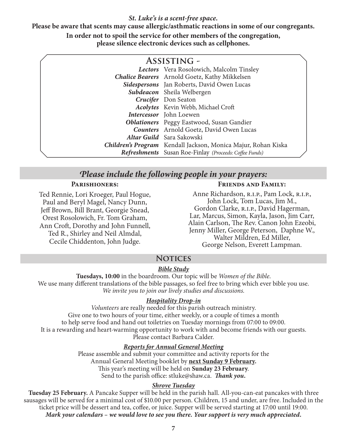#### *St. Luke's is a scent-free space.*

**Please be aware that scents may cause allergic/asthmatic reactions in some of our congregants. In order not to spoil the service for other members of the congregation, please silence electronic devices such as cellphones.**

| <b>ASSISTING -</b> |                                                               |  |  |  |
|--------------------|---------------------------------------------------------------|--|--|--|
|                    | Lectors Vera Rosolowich, Malcolm Tinsley                      |  |  |  |
|                    | <b>Chalice Bearers</b> Arnold Goetz, Kathy Mikkelsen          |  |  |  |
|                    | Sidespersons Jan Roberts, David Owen Lucas                    |  |  |  |
|                    | Subdeacon Sheila Welbergen                                    |  |  |  |
|                    | Crucifer Don Seaton                                           |  |  |  |
|                    | Acolytes Kevin Webb, Michael Croft                            |  |  |  |
|                    | Intercessor John Loewen                                       |  |  |  |
|                    | <b>Oblationers</b> Peggy Eastwood, Susan Gandier              |  |  |  |
|                    | <b>Counters</b> Arnold Goetz, David Owen Lucas                |  |  |  |
|                    | Altar Guild Sara Sakowski                                     |  |  |  |
|                    | Children's Program Kendall Jackson, Monica Majur, Rohan Kiska |  |  |  |
|                    | Refreshments Susan Roe-Finlay (Proceeds: Coffee Funds)        |  |  |  |

### *Please include the following people in your prayers:*

#### **Parishioners:**

Ted Rennie, Lori Kroeger, Paul Hogue, Paul and Beryl Magel, Nancy Dunn, Jeff Brown, Bill Brant, Georgie Snead, Orest Rosolowich, Fr. Tom Graham, Ann Croft, Dorothy and John Funnell, Ted R., Shirley and Neil Almdal, Cecile Chiddenton, John Judge.

#### **Friends and Family:**

Anne Richardson, R.I.P., Pam Lock, R.I.P., John Lock, Tom Lucas, Jim M., Gordon Clarke, R.I.P., David Hagerman, Lar, Marcus, Simon, Kayla, Jason, Jim Carr, Alain Carlson, The Rev. Canon John Ezeobi, Jenny Miller, George Peterson, Daphne W., Walter Mildren, Ed Miller, George Nelson, Everett Lampman.

# **Notices**

#### *Bible Study*

**Tuesdays, 10:00** in the boardroom. Our topic will be *Women of the Bible*. We use many different translations of the bible passages, so feel free to bring which ever bible you use. *We invite you to join our lively studies and discussions.*

#### *Hospitality Drop-in*

*Volunteers* are really needed for this parish outreach ministry. Give one to two hours of your time, either weekly, or a couple of times a month to help serve food and hand out toiletries on Tuesday mornings from 07:00 to 09:00. It is a rewarding and heart-warming opportunity to work with and become friends with our guests. Please contact Barbara Calder.

#### *Reports for Annual General Meeting*

Please assemble and submit your committee and activity reports for the Annual General Meeting booklet by **next Sunday 9 February.** This year's meeting will be held on **Sunday 23 February**. Send to the parish office: stluke@shaw.ca. *Thank you.*

#### *Shrove Tuesday*

**Tuesday 25 February.** A Pancake Supper will be held in the parish hall. All-you-can-eat pancakes with three sausages will be served for a minimal cost of \$10.00 per person. Children, 15 and under, are free. Included in the ticket price will be dessert and tea, coffee, or juice. Supper will be served starting at 17:00 until 19:00. *Mark your calendars – we would love to see you there. Your support is very much appreciated.*